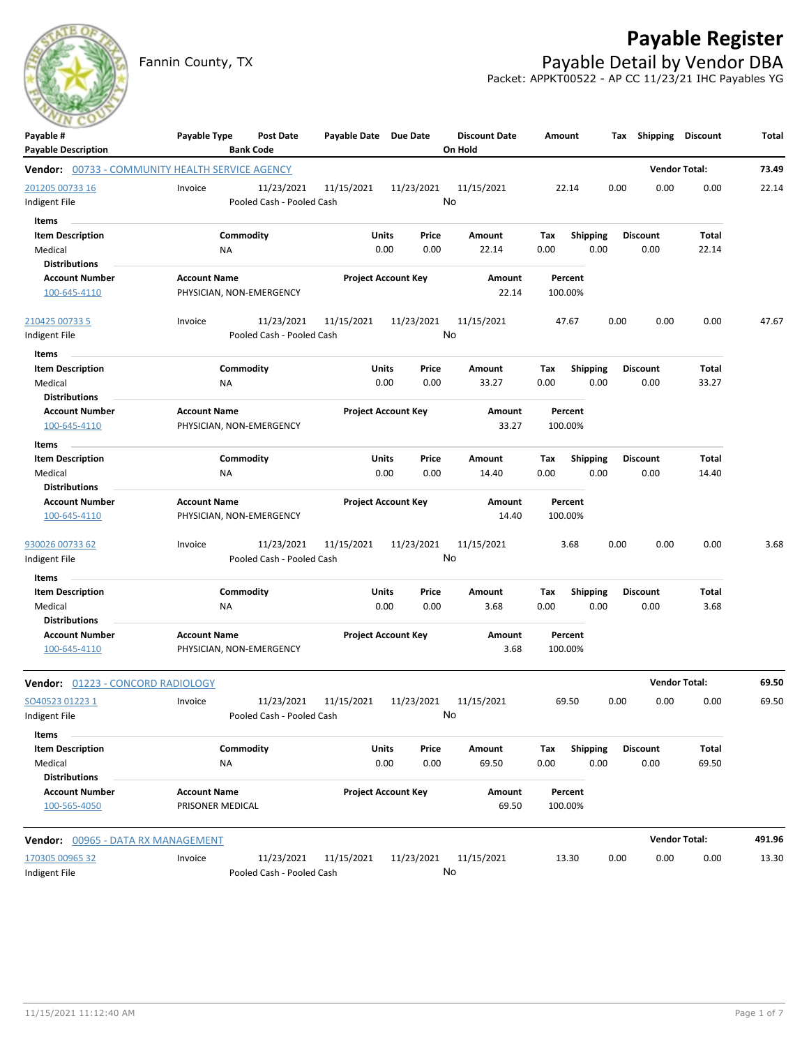# **Payable Register**

Fannin County, TX **Payable Detail by Vendor DBA** Packet: APPKT00522 - AP CC 11/23/21 IHC Payables YG

| Payable #                                     | Payable Type<br><b>Post Date</b>                                           | Payable Date Due Date                   |                            | <b>Discount Date</b> | Amount           | Tax             | Shipping        | <b>Discount</b>      | Total  |
|-----------------------------------------------|----------------------------------------------------------------------------|-----------------------------------------|----------------------------|----------------------|------------------|-----------------|-----------------|----------------------|--------|
| <b>Payable Description</b>                    | <b>Bank Code</b><br><b>Vendor:</b> 00733 - COMMUNITY HEALTH SERVICE AGENCY |                                         |                            | On Hold              |                  |                 |                 | <b>Vendor Total:</b> | 73.49  |
|                                               |                                                                            |                                         |                            |                      |                  |                 |                 |                      |        |
| 201205 00733 16                               | Invoice<br>11/23/2021                                                      | 11/15/2021<br>Pooled Cash - Pooled Cash | 11/23/2021                 | 11/15/2021<br>No     | 22.14            | 0.00            | 0.00            | 0.00                 | 22.14  |
| Indigent File                                 |                                                                            |                                         |                            |                      |                  |                 |                 |                      |        |
| <b>Items</b>                                  |                                                                            |                                         |                            |                      |                  |                 |                 |                      |        |
| <b>Item Description</b>                       | Commodity                                                                  |                                         | Units<br>Price             | Amount               | Tax              | <b>Shipping</b> | <b>Discount</b> | Total                |        |
| Medical<br><b>Distributions</b>               | ΝA                                                                         |                                         | 0.00<br>0.00               | 22.14                | 0.00             | 0.00            | 0.00            | 22.14                |        |
| <b>Account Number</b>                         | <b>Account Name</b>                                                        |                                         | <b>Project Account Key</b> | Amount               | Percent          |                 |                 |                      |        |
| 100-645-4110                                  | PHYSICIAN, NON-EMERGENCY                                                   |                                         |                            | 22.14                | 100.00%          |                 |                 |                      |        |
| 210425 00733 5                                | 11/23/2021<br>Invoice                                                      | 11/15/2021                              | 11/23/2021                 | 11/15/2021           | 47.67            | 0.00            | 0.00            | 0.00                 | 47.67  |
| Indigent File                                 |                                                                            | Pooled Cash - Pooled Cash               |                            | No                   |                  |                 |                 |                      |        |
| Items                                         |                                                                            |                                         |                            |                      |                  |                 |                 |                      |        |
| <b>Item Description</b>                       | Commodity                                                                  |                                         | Units<br>Price             | Amount               | Tax              | <b>Shipping</b> | <b>Discount</b> | Total                |        |
| Medical                                       | ΝA                                                                         |                                         | 0.00<br>0.00               | 33.27                | 0.00             | 0.00            | 0.00            | 33.27                |        |
| <b>Distributions</b>                          |                                                                            |                                         |                            |                      |                  |                 |                 |                      |        |
| <b>Account Number</b>                         | <b>Account Name</b>                                                        |                                         | <b>Project Account Key</b> | Amount               | Percent          |                 |                 |                      |        |
| 100-645-4110                                  | PHYSICIAN, NON-EMERGENCY                                                   |                                         |                            |                      | 33.27<br>100.00% |                 |                 |                      |        |
| Items                                         |                                                                            |                                         |                            |                      |                  |                 |                 |                      |        |
| <b>Item Description</b>                       | Commodity                                                                  |                                         | <b>Units</b><br>Price      | Amount               | Тах              | <b>Shipping</b> | <b>Discount</b> | Total                |        |
| Medical                                       | ΝA                                                                         |                                         | 0.00<br>0.00               | 14.40                | 0.00             | 0.00            | 0.00            | 14.40                |        |
| <b>Distributions</b>                          |                                                                            |                                         |                            |                      |                  |                 |                 |                      |        |
| <b>Account Number</b>                         | <b>Account Name</b>                                                        |                                         | <b>Project Account Key</b> |                      | Percent          |                 |                 |                      |        |
| 100-645-4110                                  | PHYSICIAN, NON-EMERGENCY                                                   |                                         |                            | 14.40                | 100.00%          |                 |                 |                      |        |
| 930026 00733 62                               | 11/23/2021<br>Invoice                                                      | 11/15/2021                              | 11/23/2021                 | 11/15/2021           | 3.68             | 0.00            | 0.00            | 0.00                 | 3.68   |
| Indigent File                                 |                                                                            | Pooled Cash - Pooled Cash               |                            | No                   |                  |                 |                 |                      |        |
| Items                                         |                                                                            |                                         |                            |                      |                  |                 |                 |                      |        |
| <b>Item Description</b>                       | Commodity                                                                  |                                         | Units<br>Price             | Amount               | Tax              | <b>Shipping</b> | <b>Discount</b> | Total                |        |
| Medical                                       | <b>NA</b>                                                                  |                                         | 0.00<br>0.00               | 3.68                 | 0.00             | 0.00            | 0.00            | 3.68                 |        |
| <b>Distributions</b>                          |                                                                            |                                         |                            |                      |                  |                 |                 |                      |        |
| <b>Account Number</b>                         | <b>Account Name</b>                                                        |                                         | <b>Project Account Key</b> | Amount               | Percent          |                 |                 |                      |        |
| 100-645-4110                                  | PHYSICIAN, NON-EMERGENCY                                                   |                                         |                            | 3.68                 | 100.00%          |                 |                 |                      |        |
| Vendor: 01223 - CONCORD RADIOLOGY             |                                                                            |                                         |                            |                      |                  |                 |                 | <b>Vendor Total:</b> | 69.50  |
| SO40523 01223 1                               | 11/23/2021<br>Invoice                                                      | 11/15/2021                              | 11/23/2021                 | 11/15/2021           | 69.50            | 0.00            | 0.00            | 0.00                 | 69.50  |
| Indigent File                                 |                                                                            | Pooled Cash - Pooled Cash               |                            | No                   |                  |                 |                 |                      |        |
| Items                                         |                                                                            |                                         |                            |                      |                  |                 |                 |                      |        |
| <b>Item Description</b>                       | Commodity                                                                  |                                         | Units<br>Price             | Amount               | Tax              | <b>Shipping</b> | <b>Discount</b> | Total                |        |
| Medical                                       | ΝA                                                                         |                                         | 0.00<br>0.00               | 69.50                | 0.00             | 0.00            | 0.00            | 69.50                |        |
| <b>Distributions</b><br><b>Account Number</b> | <b>Account Name</b>                                                        |                                         | <b>Project Account Key</b> | Amount               | Percent          |                 |                 |                      |        |
| 100-565-4050                                  | PRISONER MEDICAL                                                           |                                         |                            | 69.50                | 100.00%          |                 |                 |                      |        |
| Vendor: 00965 - DATA RX MANAGEMENT            |                                                                            |                                         |                            |                      |                  |                 |                 | <b>Vendor Total:</b> | 491.96 |
| 170305 00965 32                               | Invoice                                                                    | 11/23/2021<br>11/15/2021                | 11/23/2021                 | 11/15/2021           | 13.30            | 0.00            | 0.00            | 0.00                 | 13.30  |
| Indigent File                                 |                                                                            | Pooled Cash - Pooled Cash               |                            | No                   |                  |                 |                 |                      |        |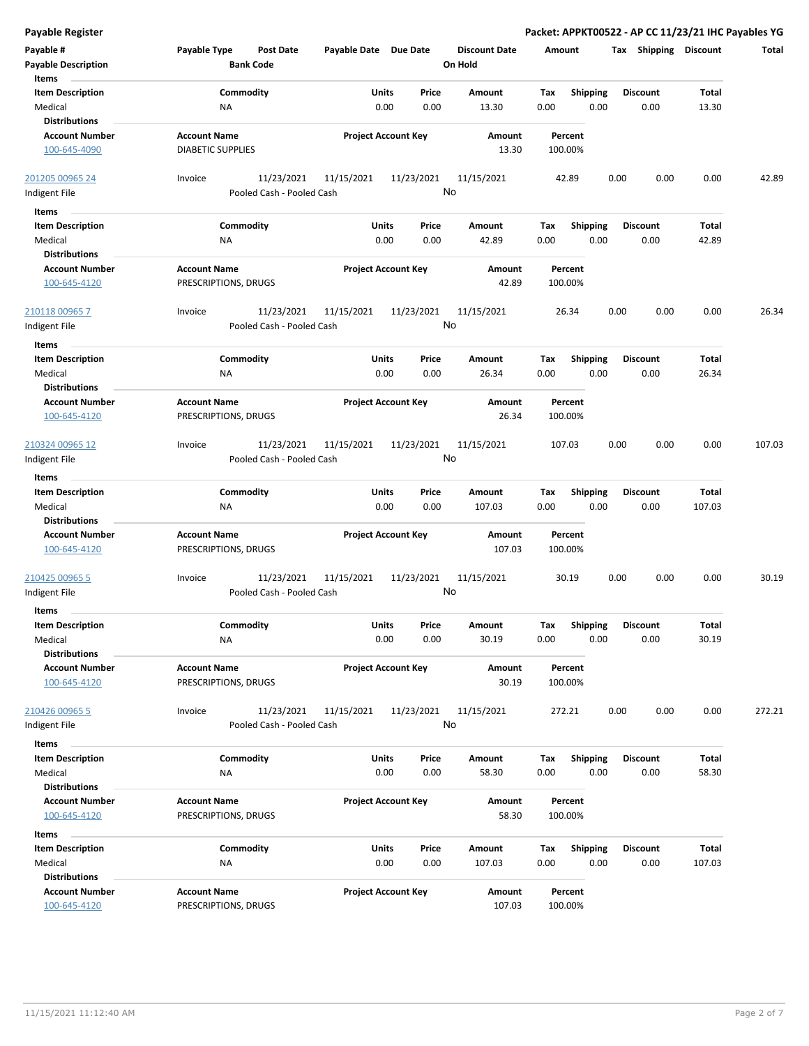| <b>Payable Register</b>    |                                  |                            | Packet: APPKT00522 - AP CC 11/23/21 IHC Payables YG |                      |         |                 |                       |              |        |
|----------------------------|----------------------------------|----------------------------|-----------------------------------------------------|----------------------|---------|-----------------|-----------------------|--------------|--------|
| Payable #                  | Payable Type<br><b>Post Date</b> | Payable Date Due Date      |                                                     | <b>Discount Date</b> | Amount  |                 | Tax Shipping Discount |              | Total  |
| <b>Payable Description</b> | <b>Bank Code</b>                 |                            |                                                     | On Hold              |         |                 |                       |              |        |
| Items                      |                                  |                            |                                                     |                      |         |                 |                       |              |        |
| <b>Item Description</b>    | Commodity                        | Units                      | Price                                               | Amount               | Tax     | Shipping        | <b>Discount</b>       | Total        |        |
| Medical                    | ΝA                               | 0.00                       | 0.00                                                | 13.30                | 0.00    | 0.00            | 0.00                  | 13.30        |        |
| <b>Distributions</b>       |                                  |                            |                                                     |                      |         |                 |                       |              |        |
| <b>Account Number</b>      | <b>Account Name</b>              | <b>Project Account Key</b> |                                                     | Amount               | Percent |                 |                       |              |        |
| 100-645-4090               | <b>DIABETIC SUPPLIES</b>         |                            |                                                     | 13.30                | 100.00% |                 |                       |              |        |
| 201205 00965 24            | 11/23/2021<br>Invoice            | 11/15/2021                 | 11/23/2021                                          | 11/15/2021           | 42.89   | 0.00            | 0.00                  | 0.00         | 42.89  |
| Indigent File              | Pooled Cash - Pooled Cash        |                            |                                                     | No                   |         |                 |                       |              |        |
| Items                      |                                  |                            |                                                     |                      |         |                 |                       |              |        |
| <b>Item Description</b>    | Commodity                        | Units                      | Price                                               | Amount               | Tax     | <b>Shipping</b> | <b>Discount</b>       | Total        |        |
| Medical                    | NA                               | 0.00                       | 0.00                                                | 42.89                | 0.00    | 0.00            | 0.00                  | 42.89        |        |
| <b>Distributions</b>       |                                  |                            |                                                     |                      |         |                 |                       |              |        |
| <b>Account Number</b>      | <b>Account Name</b>              | <b>Project Account Key</b> |                                                     | Amount               | Percent |                 |                       |              |        |
| 100-645-4120               | PRESCRIPTIONS, DRUGS             |                            |                                                     | 42.89                | 100.00% |                 |                       |              |        |
| 210118 00965 7             | 11/23/2021<br>Invoice            | 11/15/2021                 | 11/23/2021                                          | 11/15/2021           | 26.34   | 0.00            | 0.00                  | 0.00         | 26.34  |
| Indigent File              | Pooled Cash - Pooled Cash        |                            |                                                     | No                   |         |                 |                       |              |        |
| Items                      |                                  |                            |                                                     |                      |         |                 |                       |              |        |
| <b>Item Description</b>    | Commodity                        | Units                      | Price                                               | Amount               | Tax     | <b>Shipping</b> | <b>Discount</b>       | Total        |        |
| Medical                    | ΝA                               | 0.00                       | 0.00                                                | 26.34                | 0.00    | 0.00            | 0.00                  | 26.34        |        |
| <b>Distributions</b>       |                                  |                            |                                                     |                      |         |                 |                       |              |        |
| <b>Account Number</b>      | <b>Account Name</b>              | <b>Project Account Key</b> |                                                     | Amount               | Percent |                 |                       |              |        |
| 100-645-4120               | PRESCRIPTIONS, DRUGS             |                            |                                                     | 26.34                | 100.00% |                 |                       |              |        |
| 210324 00965 12            | 11/23/2021<br>Invoice            | 11/15/2021                 | 11/23/2021                                          | 11/15/2021           | 107.03  | 0.00            | 0.00                  | 0.00         | 107.03 |
| Indigent File              | Pooled Cash - Pooled Cash        |                            |                                                     | No                   |         |                 |                       |              |        |
| Items                      |                                  |                            |                                                     |                      |         |                 |                       |              |        |
| <b>Item Description</b>    | Commodity                        | Units                      | Price                                               | Amount               | Tax     | <b>Shipping</b> | <b>Discount</b>       | <b>Total</b> |        |
| Medical                    | ΝA                               | 0.00                       | 0.00                                                | 107.03               | 0.00    | 0.00            | 0.00                  | 107.03       |        |
| <b>Distributions</b>       |                                  |                            |                                                     |                      |         |                 |                       |              |        |
| <b>Account Number</b>      | <b>Account Name</b>              | <b>Project Account Key</b> |                                                     | Amount               | Percent |                 |                       |              |        |
| 100-645-4120               | PRESCRIPTIONS, DRUGS             |                            |                                                     | 107.03               | 100.00% |                 |                       |              |        |
|                            |                                  |                            |                                                     |                      |         |                 |                       |              |        |
| 210425 00965 5             | 11/23/2021<br>Invoice            | 11/15/2021                 | 11/23/2021                                          | 11/15/2021           | 30.19   | 0.00            | 0.00                  | 0.00         | 30.19  |
| Indigent File              | Pooled Cash - Pooled Cash        |                            |                                                     | No                   |         |                 |                       |              |        |
| Items                      |                                  |                            |                                                     |                      |         |                 |                       |              |        |
| <b>Item Description</b>    | Commodity                        | Units                      | Price                                               | Amount               | Tax     | Shipping        | <b>Discount</b>       | Total        |        |
| Medical                    | ΝA                               | 0.00                       | 0.00                                                | 30.19                | 0.00    | 0.00            | 0.00                  | 30.19        |        |
| <b>Distributions</b>       |                                  |                            |                                                     |                      |         |                 |                       |              |        |
| <b>Account Number</b>      | <b>Account Name</b>              | <b>Project Account Key</b> |                                                     | Amount               | Percent |                 |                       |              |        |
| 100-645-4120               | PRESCRIPTIONS, DRUGS             |                            |                                                     | 30.19                | 100.00% |                 |                       |              |        |
| 210426 00965 5             | 11/23/2021<br>Invoice            | 11/15/2021                 | 11/23/2021                                          | 11/15/2021           | 272.21  | 0.00            | 0.00                  | 0.00         | 272.21 |
| Indigent File              | Pooled Cash - Pooled Cash        |                            |                                                     | No                   |         |                 |                       |              |        |
|                            |                                  |                            |                                                     |                      |         |                 |                       |              |        |
| Items                      |                                  |                            |                                                     |                      |         |                 |                       |              |        |
| <b>Item Description</b>    | Commodity                        | <b>Units</b>               | Price                                               | Amount               | Tax     | <b>Shipping</b> | <b>Discount</b>       | Total        |        |
| Medical                    | NA                               | 0.00                       | 0.00                                                | 58.30                | 0.00    | 0.00            | 0.00                  | 58.30        |        |
| <b>Distributions</b>       |                                  |                            |                                                     |                      |         |                 |                       |              |        |
| <b>Account Number</b>      | <b>Account Name</b>              | <b>Project Account Key</b> |                                                     | Amount               | Percent |                 |                       |              |        |
| 100-645-4120               | PRESCRIPTIONS, DRUGS             |                            |                                                     | 58.30                | 100.00% |                 |                       |              |        |
| Items                      |                                  |                            |                                                     |                      |         |                 |                       |              |        |
| <b>Item Description</b>    | Commodity                        | Units                      | Price                                               | Amount               | Tax     | <b>Shipping</b> | <b>Discount</b>       | Total        |        |
| Medical                    | ΝA                               | 0.00                       | 0.00                                                | 107.03               | 0.00    | 0.00            | 0.00                  | 107.03       |        |
| <b>Distributions</b>       |                                  |                            |                                                     |                      |         |                 |                       |              |        |
| <b>Account Number</b>      | <b>Account Name</b>              | <b>Project Account Key</b> |                                                     | Amount               | Percent |                 |                       |              |        |
| 100-645-4120               | PRESCRIPTIONS, DRUGS             |                            |                                                     | 107.03               | 100.00% |                 |                       |              |        |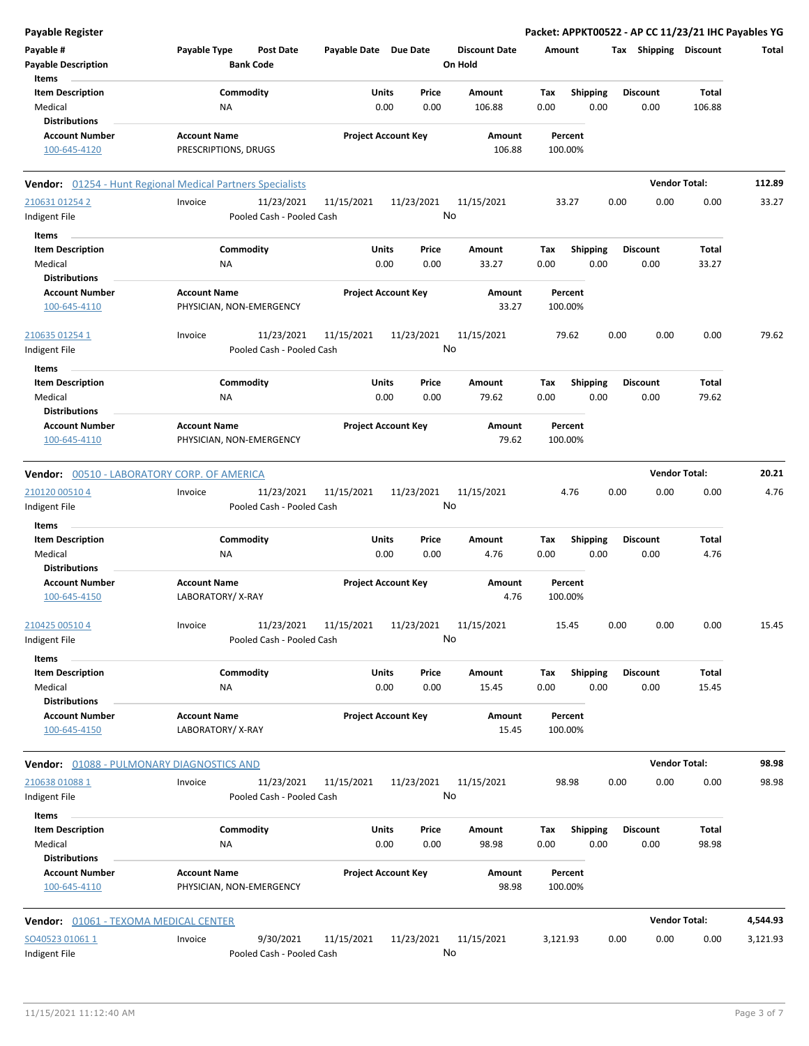| <b>Payable Register</b>                          |                                                            |                            |                                 | Packet: APPKT00522 - AP CC 11/23/21 IHC Payables YG |                       |                      |          |
|--------------------------------------------------|------------------------------------------------------------|----------------------------|---------------------------------|-----------------------------------------------------|-----------------------|----------------------|----------|
| Payable #<br><b>Payable Description</b>          | Payable Type<br><b>Post Date</b><br><b>Bank Code</b>       | Payable Date Due Date      | <b>Discount Date</b><br>On Hold | Amount                                              | Tax Shipping Discount |                      | Total    |
| Items                                            |                                                            |                            |                                 |                                                     |                       |                      |          |
| <b>Item Description</b>                          | Commodity                                                  | Units<br>Price             | Amount                          | <b>Shipping</b><br>Tax                              | <b>Discount</b>       | <b>Total</b>         |          |
| Medical                                          | NA                                                         | 0.00<br>0.00               | 106.88                          | 0.00<br>0.00                                        | 0.00                  | 106.88               |          |
| <b>Distributions</b>                             |                                                            |                            |                                 |                                                     |                       |                      |          |
| <b>Account Number</b>                            | <b>Account Name</b>                                        | <b>Project Account Key</b> | Amount                          | Percent                                             |                       |                      |          |
| 100-645-4120                                     | PRESCRIPTIONS, DRUGS                                       |                            | 106.88                          | 100.00%                                             |                       |                      |          |
|                                                  | Vendor: 01254 - Hunt Regional Medical Partners Specialists |                            |                                 |                                                     |                       | <b>Vendor Total:</b> | 112.89   |
| 210631 01254 2                                   | Invoice<br>11/23/2021                                      | 11/15/2021<br>11/23/2021   | 11/15/2021                      | 33.27                                               | 0.00<br>0.00          | 0.00                 | 33.27    |
| Indigent File                                    | Pooled Cash - Pooled Cash                                  |                            | No                              |                                                     |                       |                      |          |
| Items                                            |                                                            |                            |                                 |                                                     |                       |                      |          |
| <b>Item Description</b>                          | Commodity                                                  | Units<br>Price             | Amount                          | Tax<br><b>Shipping</b>                              | <b>Discount</b>       | Total                |          |
| Medical                                          | <b>NA</b>                                                  | 0.00<br>0.00               | 33.27                           | 0.00<br>0.00                                        | 0.00                  | 33.27                |          |
| <b>Distributions</b>                             |                                                            |                            |                                 |                                                     |                       |                      |          |
| <b>Account Number</b>                            | <b>Account Name</b>                                        | <b>Project Account Key</b> | Amount                          | Percent                                             |                       |                      |          |
| 100-645-4110                                     | PHYSICIAN, NON-EMERGENCY                                   |                            | 33.27                           | 100.00%                                             |                       |                      |          |
| 210635 01254 1                                   | 11/23/2021<br>Invoice                                      | 11/15/2021<br>11/23/2021   | 11/15/2021                      | 79.62                                               | 0.00<br>0.00          | 0.00                 | 79.62    |
| Indigent File                                    | Pooled Cash - Pooled Cash                                  |                            | No                              |                                                     |                       |                      |          |
| Items                                            |                                                            |                            |                                 |                                                     |                       |                      |          |
| <b>Item Description</b>                          | Commodity                                                  | Units<br>Price             | Amount                          | <b>Shipping</b><br>Tax                              | <b>Discount</b>       | Total                |          |
| Medical<br><b>Distributions</b>                  | NA                                                         | 0.00<br>0.00               | 79.62                           | 0.00<br>0.00                                        | 0.00                  | 79.62                |          |
| <b>Account Number</b>                            | <b>Account Name</b>                                        | <b>Project Account Key</b> | Amount                          | Percent                                             |                       |                      |          |
| 100-645-4110                                     | PHYSICIAN, NON-EMERGENCY                                   |                            | 79.62                           | 100.00%                                             |                       |                      |          |
| Vendor: 00510 - LABORATORY CORP. OF AMERICA      |                                                            |                            |                                 |                                                     |                       | <b>Vendor Total:</b> | 20.21    |
| 210120 00510 4                                   | Invoice<br>11/23/2021                                      | 11/15/2021<br>11/23/2021   | 11/15/2021                      | 4.76                                                | 0.00<br>0.00          | 0.00                 | 4.76     |
| Indigent File                                    | Pooled Cash - Pooled Cash                                  |                            | No                              |                                                     |                       |                      |          |
| Items                                            |                                                            |                            |                                 |                                                     |                       |                      |          |
| <b>Item Description</b>                          | Commodity                                                  | Units<br>Price             | Amount                          | <b>Shipping</b><br>Tax                              | <b>Discount</b>       | Total                |          |
| Medical                                          | NA                                                         | 0.00<br>0.00               | 4.76                            | 0.00<br>0.00                                        | 0.00                  | 4.76                 |          |
| <b>Distributions</b>                             |                                                            |                            |                                 |                                                     |                       |                      |          |
| <b>Account Number</b>                            | <b>Account Name</b>                                        | <b>Project Account Key</b> | Amount                          | Percent                                             |                       |                      |          |
| 100-645-4150                                     | LABORATORY/X-RAY                                           |                            | 4.76                            | 100.00%                                             |                       |                      |          |
| 210425 00510 4                                   | Invoice<br>11/23/2021                                      | 11/15/2021<br>11/23/2021   | 11/15/2021                      | 15.45                                               | 0.00<br>0.00          | 0.00                 | 15.45    |
| Indigent File                                    | Pooled Cash - Pooled Cash                                  |                            | No                              |                                                     |                       |                      |          |
| Items                                            |                                                            |                            | Amount                          |                                                     |                       |                      |          |
| <b>Item Description</b><br>Medical               | Commodity                                                  | Units<br>Price<br>0.00     |                                 | <b>Shipping</b><br>Tax                              | <b>Discount</b>       | Total                |          |
| <b>Distributions</b>                             | NA                                                         | 0.00                       | 15.45                           | 0.00<br>0.00                                        | 0.00                  | 15.45                |          |
| <b>Account Number</b>                            | <b>Account Name</b>                                        | <b>Project Account Key</b> | Amount                          | Percent                                             |                       |                      |          |
| 100-645-4150                                     | LABORATORY/X-RAY                                           |                            | 15.45                           | 100.00%                                             |                       |                      |          |
| <b>Vendor: 01088 - PULMONARY DIAGNOSTICS AND</b> |                                                            |                            |                                 |                                                     |                       | <b>Vendor Total:</b> | 98.98    |
| 210638 01088 1                                   | 11/23/2021<br>Invoice                                      | 11/15/2021<br>11/23/2021   | 11/15/2021                      | 98.98                                               | 0.00<br>0.00          | 0.00                 | 98.98    |
| Indigent File                                    | Pooled Cash - Pooled Cash                                  |                            | No                              |                                                     |                       |                      |          |
| <b>Items</b>                                     |                                                            |                            |                                 |                                                     |                       |                      |          |
| <b>Item Description</b>                          | Commodity                                                  | Units<br>Price             | Amount                          | <b>Shipping</b><br>Tax                              | <b>Discount</b>       | Total                |          |
| Medical                                          | ΝA                                                         | 0.00<br>0.00               | 98.98                           | 0.00<br>0.00                                        | 0.00                  | 98.98                |          |
| <b>Distributions</b>                             |                                                            |                            |                                 |                                                     |                       |                      |          |
| <b>Account Number</b><br>100-645-4110            | <b>Account Name</b><br>PHYSICIAN, NON-EMERGENCY            | <b>Project Account Key</b> | Amount<br>98.98                 | Percent<br>100.00%                                  |                       |                      |          |
| Vendor: 01061 - TEXOMA MEDICAL CENTER            |                                                            |                            |                                 |                                                     |                       | <b>Vendor Total:</b> | 4,544.93 |
| SO40523 01061 1                                  | 9/30/2021<br>Invoice                                       | 11/15/2021<br>11/23/2021   | 11/15/2021                      | 3,121.93                                            | 0.00<br>0.00          | 0.00                 | 3,121.93 |
| Indigent File                                    | Pooled Cash - Pooled Cash                                  |                            | No                              |                                                     |                       |                      |          |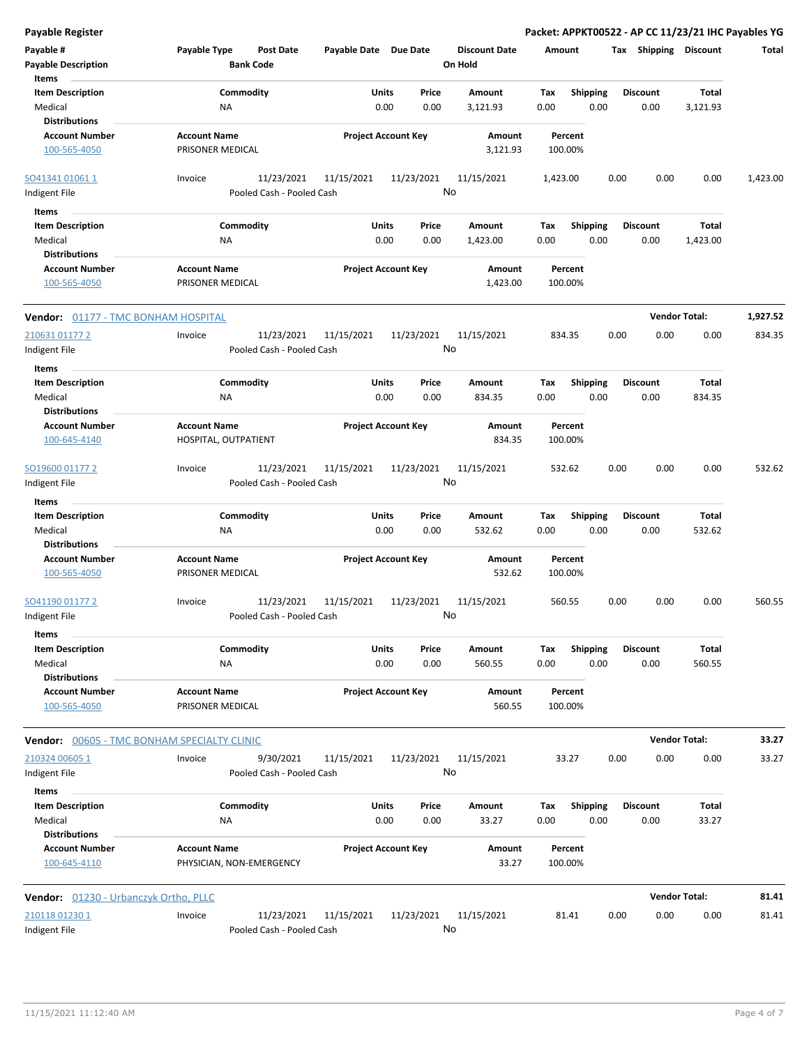**Payable Register Packet: APPKT00522 - AP CC 11/23/21 IHC Payables YG Payable # Payable Type Post Date Payable Date Due Date Payable Description Bank Code Discount Date Amount Tax Shipping Discount Total On Hold** 0.00 0.00 **Units** Medical 0.00 **Item Description** 3,121.93 **Price Amount Tax** 0.00 3,121.93 Commodity **Shipping Shipping Commodity Shipping Discount** Total NA **Items** 0.00 **Discount Account Number Account Name Project Account Key Amount Distributions Percent** 100-565-4050 **PRISONER MEDICAL 3,121.93** 100.00% 11/23/2021 11/15/2021 11/23/2021 Indigent File **Pooled Cash - Pooled Cash**  $\frac{SO41341\,01061\,1}{SO41341\,01061\,1}$  lnvoice  $\qquad\qquad\qquad$  11/23/2021  $\qquad$  11/15/2021  $\qquad$  1/15/2021  $\qquad$  1,423.00  $\qquad$  0.00  $\qquad$  0.00  $\qquad$  1,423.00 No 0.00 0.00 **Units** Medical 0.00 **Item Description** 1,423.00 **Price Amount Tax** 0.00 1,423.00 Commodity **Shipping Shipping Commodity Shipping Discount** Total NA **Items** 0.00 **Discount Account Number Account Name Project Account Key Amount Distributions Percent** 100-565-4050 PRISONER MEDICAL 1,423.00 100.00% **Vendor:** 01177 - TMC BONHAM HOSPITAL **Vendor Total: 1,927.52** 11/23/2021 11/15/2021 11/23/2021 Indigent File **Pooled Cash - Pooled Cash** 210631 01177 2 Invoice 11/15/2021 834.35 0.00 0.00 0.00 834.35 No 0.00 0.00 **Units** Medical 0.00 **Item Description** 834.35 **Price Amount Tax** 0.00 834.35 Commodity **Shipping Example 1 Commodity Shipping Discount** Total NA **Items** 0.00 **Discount Account Number Account Name Project Account Key Amount Distributions Percent** 100-645-4140 HOSPITAL, OUTPATIENT 834.35 100.00% 11/23/2021 11/15/2021 11/23/2021 Indigent File **Pooled Cash - Pooled Cash** SO19600 01177 2 Invoice 11/15/2021 532.62 0.00 0.00 0.00 532.62 No 0.00 0.00 **Units** Medical 0.00 **Item Description** 532.62 **Price Amount Tax** 0.00 532.62 Commodity **Shipping Example 1 Commodity Shipping Discount** Total NA **Items** 0.00 **Discount Account Number Account Name Project Account Key Amount Distributions Percent** 100-565-4050 PRISONER MEDICAL 532.62 100.00% 11/23/2021 11/15/2021 11/23/2021 Indigent File **Pooled Cash - Pooled Cash** SO41190 01177 2 Invoice 11/15/2021 560.55 0.00 0.00 0.00 560.55 No 0.00 0.00 **Units** Medical 0.00 **Item Description** 560.55 **Price Amount Tax** 0.00 560.55 Commodity **Shipping Example 1 Commodity Shipping Discount** Total NA **Items** 0.00 **Discount Account Number Account Name Project Account Key Amount Distributions Percent** 100-565-4050 PRISONER MEDICAL 560.55 100.00% **Vendor:** 00605 - TMC BONHAM SPECIALTY CLINIC **Vendor Total: 33.27** 9/30/2021 11/15/2021 11/23/2021 Indigent File **Pooled Cash - Pooled Cash** 210324 00605 1 Invoice 11/15/2021 33.27 0.00 0.00 0.00 33.27 No 0.00 0.00 **Units** Medical 0.00 **Item Description** 33.27 **Price Amount Tax** 0.00 33.27 Commodity **Shipping Shipping Commodity Shipping Discount** Total NA **Items** 0.00 **Discount Account Number Account Name Project Account Key Amount Distributions Percent** 100-645-4110 PHYSICIAN, NON-EMERGENCY 33.27 100.00% **Vendor:** 01230 - Urbanczyk Ortho, PLLC **Vendor Total: 81.41** 11/23/2021 11/15/2021 11/23/2021  $\frac{210118\,01230\,1}{2000}$  anvoice  $\qquad\qquad$  11/23/2021 11/15/2021 11/23/2021 11/15/2021 81.41 0.00 0.00 0.00 81.41

Indigent File **Pooled Cash - Pooled Cash** No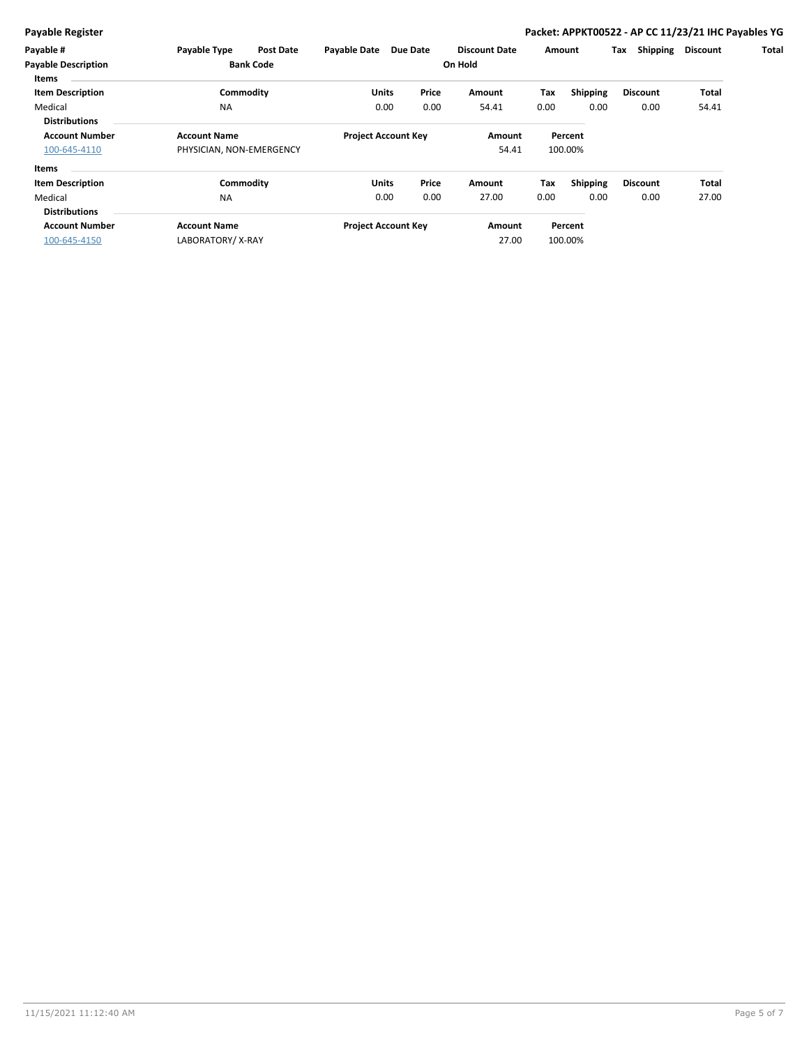### **Payable Register Packet: APPKT00522 - AP CC 11/23/21 IHC Payables YG**

| Payable #                                      | <b>Payable Type</b>      | <b>Post Date</b>           | Payable Date | <b>Due Date</b>            | <b>Discount Date</b> |         | Amount   | Shipping<br>Tax | <b>Discount</b> | Total |
|------------------------------------------------|--------------------------|----------------------------|--------------|----------------------------|----------------------|---------|----------|-----------------|-----------------|-------|
| <b>Payable Description</b><br><b>Bank Code</b> |                          |                            |              |                            | On Hold              |         |          |                 |                 |       |
| Items                                          |                          |                            |              |                            |                      |         |          |                 |                 |       |
| <b>Item Description</b>                        | Commodity                |                            | <b>Units</b> | Price                      | Amount               | Tax     | Shipping | <b>Discount</b> | Total           |       |
| Medical                                        | <b>NA</b>                |                            | 0.00         | 0.00                       | 54.41                | 0.00    | 0.00     | 0.00            | 54.41           |       |
| <b>Distributions</b>                           |                          |                            |              |                            |                      |         |          |                 |                 |       |
| <b>Account Number</b><br><b>Account Name</b>   |                          | <b>Project Account Key</b> |              | Amount                     |                      | Percent |          |                 |                 |       |
| 100-645-4110                                   | PHYSICIAN, NON-EMERGENCY |                            |              |                            | 54.41                |         | 100.00%  |                 |                 |       |
| Items                                          |                          |                            |              |                            |                      |         |          |                 |                 |       |
| <b>Item Description</b>                        | Commodity                |                            | <b>Units</b> | Price                      | Amount               | Tax     | Shipping | <b>Discount</b> | Total           |       |
| Medical                                        | <b>NA</b>                |                            | 0.00         | 0.00                       | 27.00                | 0.00    | 0.00     | 0.00            | 27.00           |       |
| <b>Distributions</b>                           |                          |                            |              |                            |                      |         |          |                 |                 |       |
| <b>Account Number</b>                          | <b>Account Name</b>      |                            |              | <b>Project Account Key</b> | Amount               |         | Percent  |                 |                 |       |
| 100-645-4150                                   | LABORATORY/X-RAY         |                            |              |                            | 27.00                |         | 100.00%  |                 |                 |       |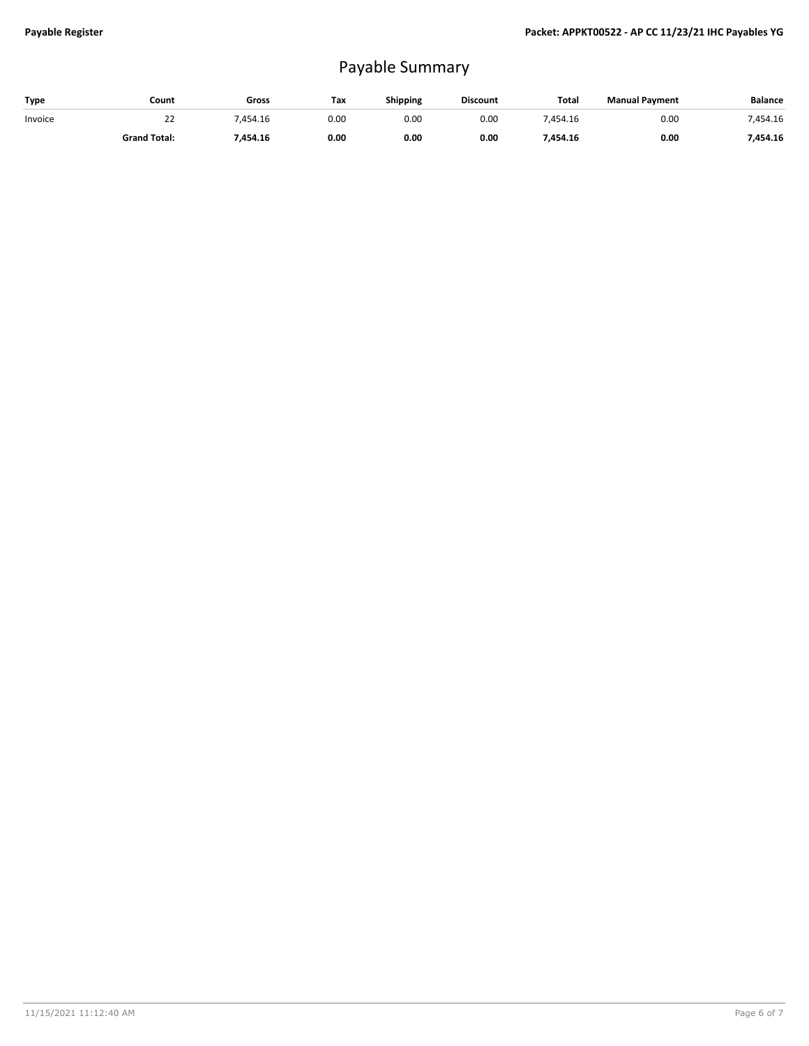## Payable Summary

| Type    | Count               | Gross  | Tax  | <b>Shipping</b> | <b>Discount</b> | <b>Total</b> | <b>Manual Payment</b> | <b>Balance</b> |
|---------|---------------------|--------|------|-----------------|-----------------|--------------|-----------------------|----------------|
| Invoice | ے۔                  | 454.16 | 0.00 | 0.00            | 0.00            | 454.16       | 0.00                  | 454.16/        |
|         | <b>Grand Total:</b> | 454.16 | 0.00 | 0.00            | 0.00            | 454.16/      | 0.00                  | 454.16/        |